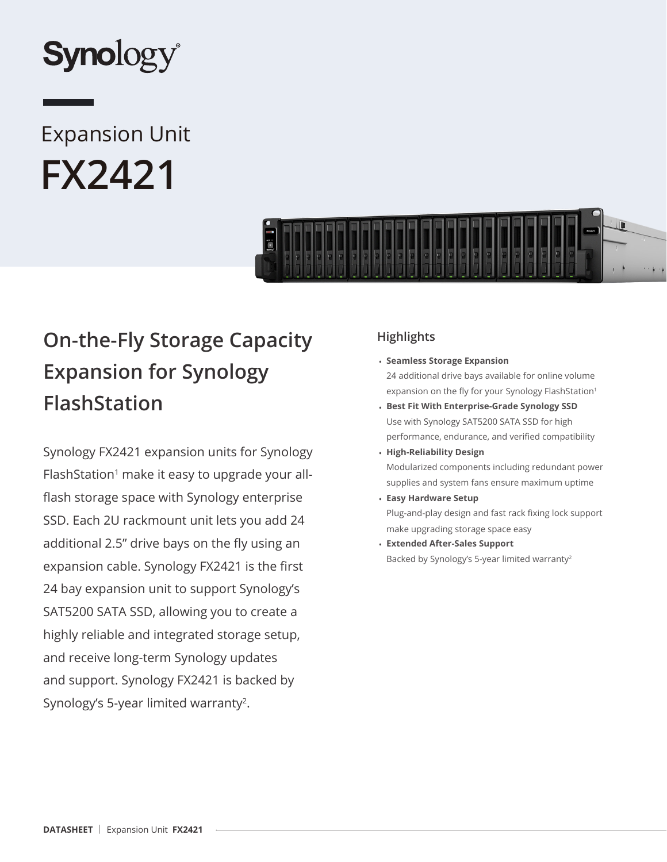

# Expansion Unit **FX2421**



## **On-the-Fly Storage Capacity Expansion for Synology FlashStation**

Synology FX2421 expansion units for Synology FlashStation<sup>1</sup> make it easy to upgrade your allflash storage space with Synology enterprise SSD. Each 2U rackmount unit lets you add 24 additional 2.5" drive bays on the fly using an expansion cable. Synology FX2421 is the first 24 bay expansion unit to support Synology's SAT5200 SATA SSD, allowing you to create a highly reliable and integrated storage setup, and receive long-term Synology updates and support. Synology FX2421 is backed by Synology's 5-year limited warranty<sup>2</sup>.

## **Highlights**

- **Seamless Storage Expansion** 24 additional drive bays available for online volume expansion on the fly for your Synology FlashStation<sup>1</sup>
- **Best Fit With Enterprise-Grade Synology SSD** Use with Synology SAT5200 SATA SSD for high performance, endurance, and verified compatibility
- **High-Reliability Design** Modularized components including redundant power supplies and system fans ensure maximum uptime
- **Easy Hardware Setup** Plug-and-play design and fast rack fixing lock support make upgrading storage space easy
- **Extended After-Sales Support** Backed by Synology's 5-year limited warranty<sup>2</sup>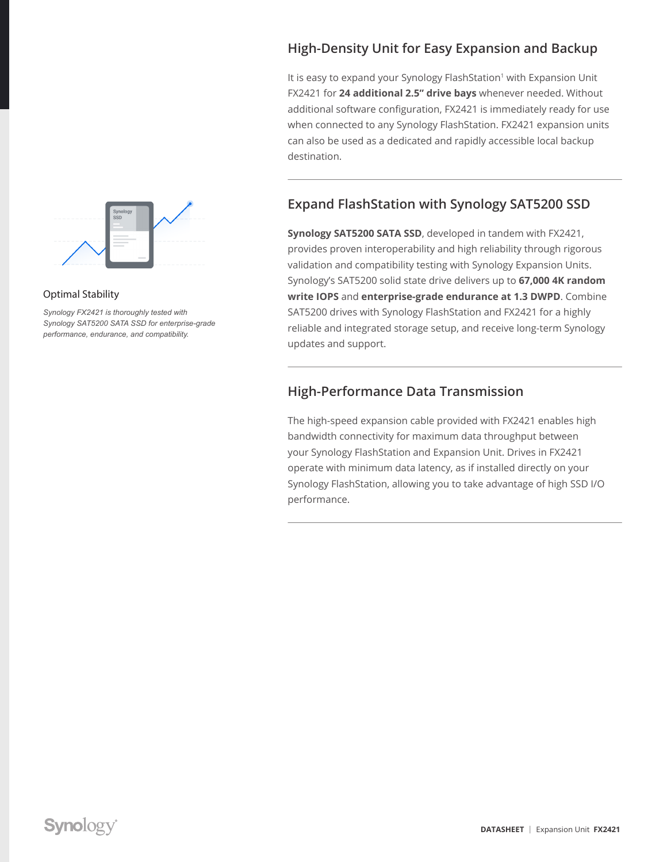

#### Optimal Stability

*Synology FX2421 is thoroughly tested with Synology SAT5200 SATA SSD for enterprise-grade performance, endurance, and compatibility.*

## **High-Density Unit for Easy Expansion and Backup**

It is easy to expand your Synology FlashStation<sup>1</sup> with Expansion Unit FX2421 for **24 additional 2.5" drive bays** whenever needed. Without additional software configuration, FX2421 is immediately ready for use when connected to any Synology FlashStation. FX2421 expansion units can also be used as a dedicated and rapidly accessible local backup destination.

## **Expand FlashStation with Synology SAT5200 SSD**

**Synology SAT5200 SATA SSD**, developed in tandem with FX2421, provides proven interoperability and high reliability through rigorous validation and compatibility testing with Synology Expansion Units. Synology's SAT5200 solid state drive delivers up to **67,000 4K random write IOPS** and **enterprise-grade endurance at 1.3 DWPD**. Combine SAT5200 drives with Synology FlashStation and FX2421 for a highly reliable and integrated storage setup, and receive long-term Synology updates and support.

#### **High-Performance Data Transmission**

The high-speed expansion cable provided with FX2421 enables high bandwidth connectivity for maximum data throughput between your Synology FlashStation and Expansion Unit. Drives in FX2421 operate with minimum data latency, as if installed directly on your Synology FlashStation, allowing you to take advantage of high SSD I/O performance.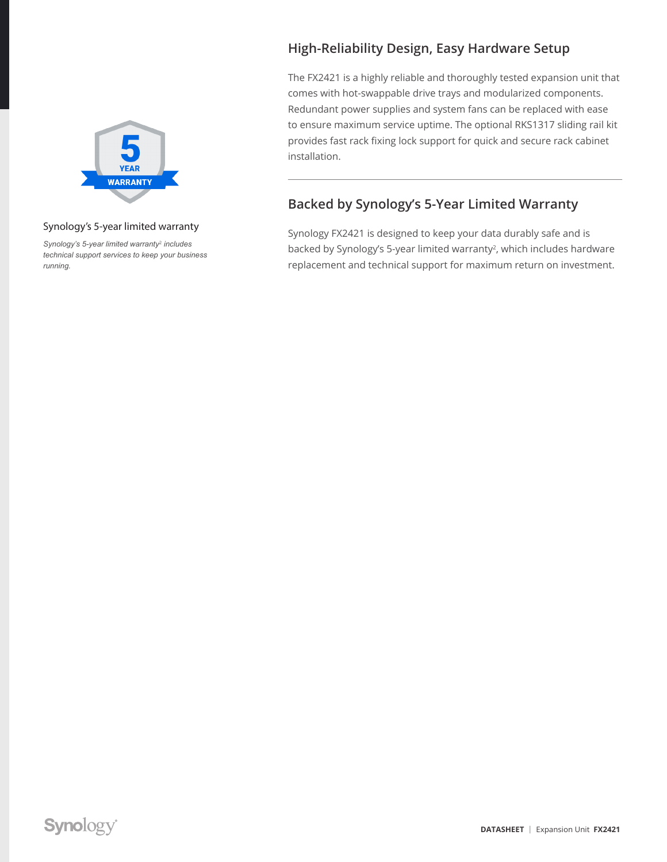

#### Synology's 5-year limited warranty

*Synology's 5-year limited warranty*<sup>2</sup> *includes technical support services to keep your business running.*

## **High-Reliability Design, Easy Hardware Setup**

The FX2421 is a highly reliable and thoroughly tested expansion unit that comes with hot-swappable drive trays and modularized components. Redundant power supplies and system fans can be replaced with ease to ensure maximum service uptime. The optional RKS1317 sliding rail kit provides fast rack fixing lock support for quick and secure rack cabinet installation.

## **Backed by Synology's 5-Year Limited Warranty**

Synology FX2421 is designed to keep your data durably safe and is backed by Synology's 5-year limited warranty<sup>2</sup>, which includes hardware replacement and technical support for maximum return on investment.